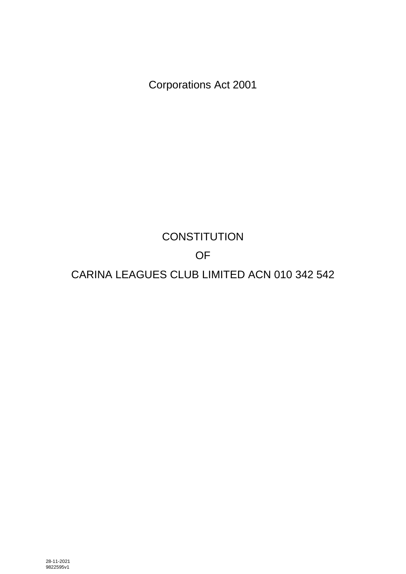Corporations Act 2001

# **CONSTITUTION** OF CARINA LEAGUES CLUB LIMITED ACN 010 342 542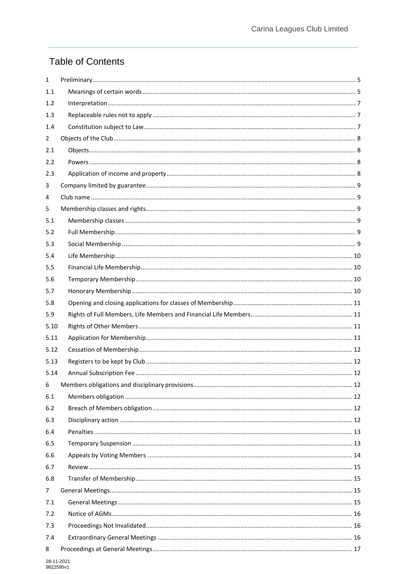## **Table of Contents**

| $\mathbf{1}$   |  |
|----------------|--|
| 1.1            |  |
| 1.2            |  |
| 1.3            |  |
| 1.4            |  |
| $\overline{2}$ |  |
| 2.1            |  |
| 2.2            |  |
| 2.3            |  |
| 3              |  |
| 4              |  |
| 5              |  |
| 5.1            |  |
| 5.2            |  |
| 5.3            |  |
| 5.4            |  |
| 5.5            |  |
| 5.6            |  |
| 5.7            |  |
| 5.8            |  |
| 5.9            |  |
| 5.10           |  |
| 5.11           |  |
| 5.12           |  |
| 5.13           |  |
| 5.14           |  |
| 6              |  |
| 6.1            |  |
| 6.2            |  |
| 6.3            |  |
| 6.4            |  |
| 6.5            |  |
| 6.6            |  |
| 6.7            |  |
| 6.8            |  |
| $\overline{7}$ |  |
|                |  |
| 7.1            |  |
| 7.2            |  |
| 7.3            |  |
| 7.4            |  |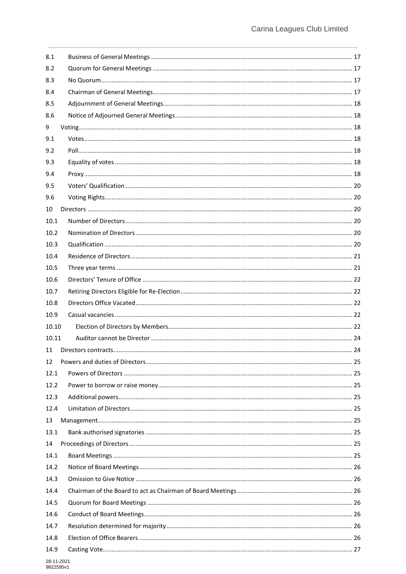| 8.1   |  |
|-------|--|
| 8.2   |  |
| 8.3   |  |
| 8.4   |  |
| 8.5   |  |
| 8.6   |  |
| 9     |  |
| 9.1   |  |
| 9.2   |  |
| 9.3   |  |
| 9.4   |  |
| 9.5   |  |
| 9.6   |  |
| 10    |  |
| 10.1  |  |
| 10.2  |  |
| 10.3  |  |
| 10.4  |  |
| 10.5  |  |
| 10.6  |  |
| 10.7  |  |
| 10.8  |  |
| 10.9  |  |
| 10.10 |  |
| 10.11 |  |
| 11    |  |
| 12    |  |
| 12.1  |  |
| 12.2  |  |
| 12.3  |  |
| 12.4  |  |
| 13    |  |
| 13.1  |  |
| 14    |  |
| 14.1  |  |
| 14.2  |  |
| 14.3  |  |
| 14.4  |  |
| 14.5  |  |
| 14.6  |  |
| 14.7  |  |
| 14.8  |  |
| 14.9  |  |
|       |  |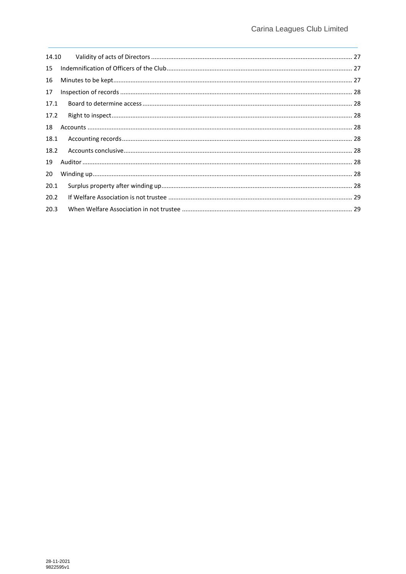| 15   |  |
|------|--|
| 16   |  |
| 17   |  |
| 17.1 |  |
| 17.2 |  |
| 18   |  |
| 18.1 |  |
| 18.2 |  |
| 19   |  |
| 20   |  |
| 20.1 |  |
| 20.2 |  |
| 20.3 |  |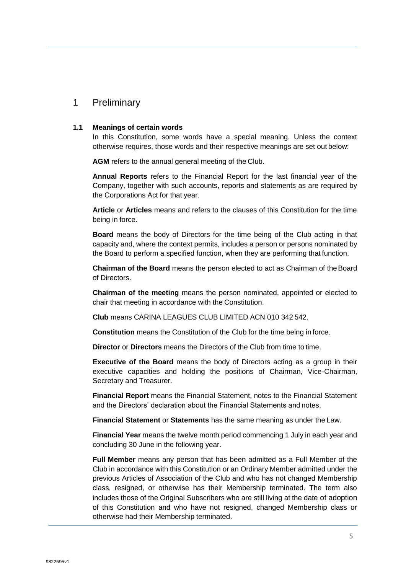### <span id="page-4-0"></span>1 Preliminary

#### <span id="page-4-1"></span>**1.1 Meanings of certain words**

In this Constitution, some words have a special meaning. Unless the context otherwise requires, those words and their respective meanings are set out below:

**AGM** refers to the annual general meeting of the Club.

**Annual Reports** refers to the Financial Report for the last financial year of the Company, together with such accounts, reports and statements as are required by the Corporations Act for that year.

**Article** or **Articles** means and refers to the clauses of this Constitution for the time being in force.

**Board** means the body of Directors for the time being of the Club acting in that capacity and, where the context permits, includes a person or persons nominated by the Board to perform a specified function, when they are performing that function.

**Chairman of the Board** means the person elected to act as Chairman of theBoard of Directors.

**Chairman of the meeting** means the person nominated, appointed or elected to chair that meeting in accordance with the Constitution.

**Club** means CARINA LEAGUES CLUB LIMITED ACN 010 342 542.

**Constitution** means the Constitution of the Club for the time being inforce.

**Director** or **Directors** means the Directors of the Club from time to time.

**Executive of the Board** means the body of Directors acting as a group in their executive capacities and holding the positions of Chairman, Vice-Chairman, Secretary and Treasurer.

**Financial Report** means the Financial Statement, notes to the Financial Statement and the Directors' declaration about the Financial Statements and notes.

**Financial Statement** or **Statements** has the same meaning as under the Law.

**Financial Year** means the twelve month period commencing 1 July in each year and concluding 30 June in the following year.

**Full Member** means any person that has been admitted as a Full Member of the Club in accordance with this Constitution or an Ordinary Member admitted under the previous Articles of Association of the Club and who has not changed Membership class, resigned, or otherwise has their Membership terminated. The term also includes those of the Original Subscribers who are still living at the date of adoption of this Constitution and who have not resigned, changed Membership class or otherwise had their Membership terminated.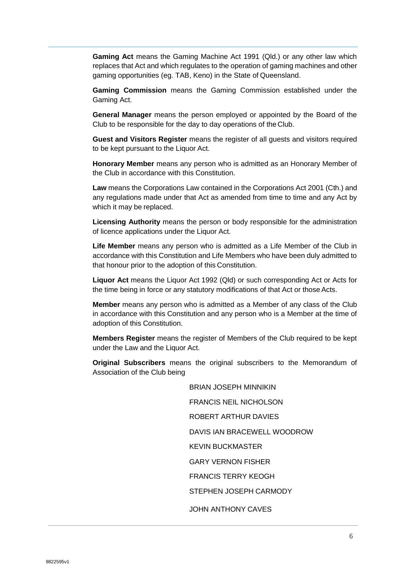**Gaming Act** means the Gaming Machine Act 1991 (Qld.) or any other law which replaces that Act and which regulates to the operation of gaming machines and other gaming opportunities (eg. TAB, Keno) in the State of Queensland.

**Gaming Commission** means the Gaming Commission established under the Gaming Act.

**General Manager** means the person employed or appointed by the Board of the Club to be responsible for the day to day operations of the Club.

**Guest and Visitors Register** means the register of all guests and visitors required to be kept pursuant to the Liquor Act.

**Honorary Member** means any person who is admitted as an Honorary Member of the Club in accordance with this Constitution.

**Law** means the Corporations Law contained in the Corporations Act 2001 (Cth.) and any regulations made under that Act as amended from time to time and any Act by which it may be replaced.

**Licensing Authority** means the person or body responsible for the administration of licence applications under the Liquor Act.

**Life Member** means any person who is admitted as a Life Member of the Club in accordance with this Constitution and Life Members who have been duly admitted to that honour prior to the adoption of this Constitution.

**Liquor Act** means the Liquor Act 1992 (Qld) or such corresponding Act or Acts for the time being in force or any statutory modifications of that Act or those Acts.

**Member** means any person who is admitted as a Member of any class of the Club in accordance with this Constitution and any person who is a Member at the time of adoption of this Constitution.

**Members Register** means the register of Members of the Club required to be kept under the Law and the Liquor Act.

**Original Subscribers** means the original subscribers to the Memorandum of Association of the Club being

> BRIAN JOSEPH MINNIKIN FRANCIS NEIL NICHOLSON ROBERT ARTHUR DAVIES DAVIS IAN BRACEWELL WOODROW KEVIN BUCKMASTER GARY VERNON FISHER FRANCIS TERRY KEOGH STEPHEN JOSEPH CARMODY JOHN ANTHONY CAVES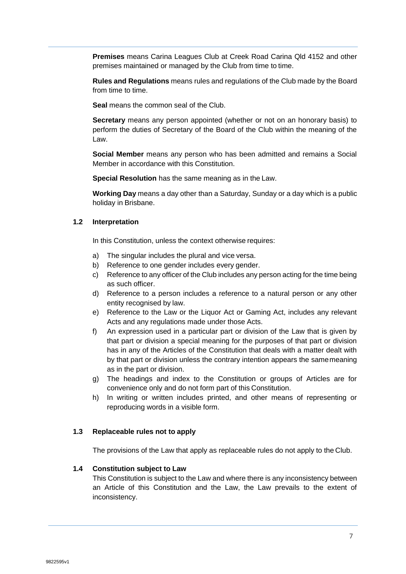**Premises** means Carina Leagues Club at Creek Road Carina Qld 4152 and other premises maintained or managed by the Club from time to time.

**Rules and Regulations** means rules and regulations of the Club made by the Board from time to time.

**Seal** means the common seal of the Club.

**Secretary** means any person appointed (whether or not on an honorary basis) to perform the duties of Secretary of the Board of the Club within the meaning of the Law.

**Social Member** means any person who has been admitted and remains a Social Member in accordance with this Constitution.

**Special Resolution** has the same meaning as in the Law.

**Working Day** means a day other than a Saturday, Sunday or a day which is a public holiday in Brisbane.

#### <span id="page-6-0"></span>**1.2 Interpretation**

In this Constitution, unless the context otherwise requires:

- a) The singular includes the plural and vice versa.
- b) Reference to one gender includes every gender.
- c) Reference to any officer of the Club includes any person acting for the time being as such officer.
- d) Reference to a person includes a reference to a natural person or any other entity recognised by law.
- e) Reference to the Law or the Liquor Act or Gaming Act, includes any relevant Acts and any regulations made under those Acts.
- f) An expression used in a particular part or division of the Law that is given by that part or division a special meaning for the purposes of that part or division has in any of the Articles of the Constitution that deals with a matter dealt with by that part or division unless the contrary intention appears the samemeaning as in the part or division.
- g) The headings and index to the Constitution or groups of Articles are for convenience only and do not form part of this Constitution.
- h) In writing or written includes printed, and other means of representing or reproducing words in a visible form.

#### <span id="page-6-1"></span>**1.3 Replaceable rules not to apply**

The provisions of the Law that apply as replaceable rules do not apply to the Club.

#### <span id="page-6-2"></span>**1.4 Constitution subject to Law**

This Constitution is subject to the Law and where there is any inconsistency between an Article of this Constitution and the Law, the Law prevails to the extent of inconsistency.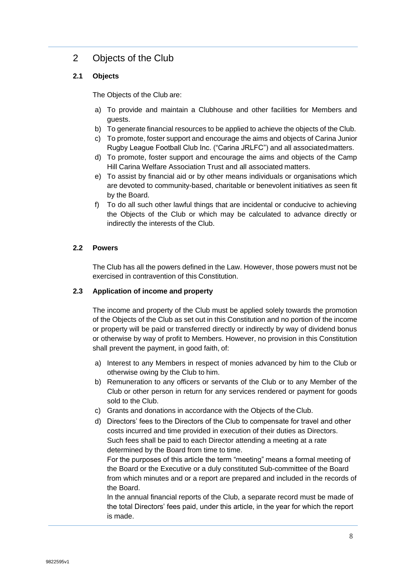### <span id="page-7-0"></span>2 Objects of the Club

### <span id="page-7-1"></span>**2.1 Objects**

The Objects of the Club are:

- a) To provide and maintain a Clubhouse and other facilities for Members and guests.
- b) To generate financial resources to be applied to achieve the objects of the Club.
- c) To promote, foster support and encourage the aims and objects of Carina Junior Rugby League Football Club Inc. ("Carina JRLFC") and all associatedmatters.
- d) To promote, foster support and encourage the aims and objects of the Camp Hill Carina Welfare Association Trust and all associated matters.
- e) To assist by financial aid or by other means individuals or organisations which are devoted to community-based, charitable or benevolent initiatives as seen fit by the Board.
- f) To do all such other lawful things that are incidental or conducive to achieving the Objects of the Club or which may be calculated to advance directly or indirectly the interests of the Club.

#### <span id="page-7-2"></span>**2.2 Powers**

The Club has all the powers defined in the Law. However, those powers must not be exercised in contravention of this Constitution.

#### <span id="page-7-3"></span>**2.3 Application of income and property**

The income and property of the Club must be applied solely towards the promotion of the Objects of the Club as set out in this Constitution and no portion of the income or property will be paid or transferred directly or indirectly by way of dividend bonus or otherwise by way of profit to Members. However, no provision in this Constitution shall prevent the payment, in good faith, of:

- a) Interest to any Members in respect of monies advanced by him to the Club or otherwise owing by the Club to him.
- b) Remuneration to any officers or servants of the Club or to any Member of the Club or other person in return for any services rendered or payment for goods sold to the Club.
- c) Grants and donations in accordance with the Objects of the Club.
- d) Directors' fees to the Directors of the Club to compensate for travel and other costs incurred and time provided in execution of their duties as Directors. Such fees shall be paid to each Director attending a meeting at a rate determined by the Board from time to time.

For the purposes of this article the term "meeting" means a formal meeting of the Board or the Executive or a duly constituted Sub-committee of the Board from which minutes and or a report are prepared and included in the records of the Board.

In the annual financial reports of the Club, a separate record must be made of the total Directors' fees paid, under this article, in the year for which the report is made.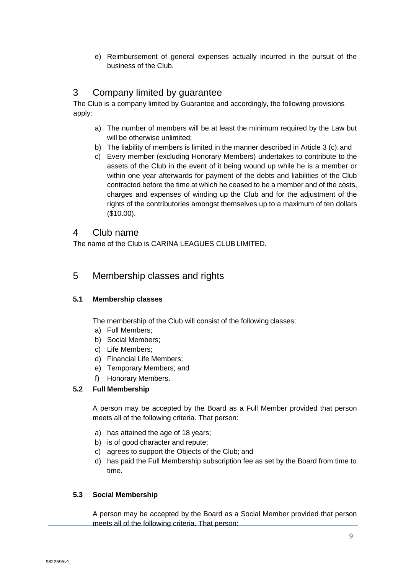e) Reimbursement of general expenses actually incurred in the pursuit of the business of the Club.

### <span id="page-8-0"></span>3 Company limited by guarantee

The Club is a company limited by Guarantee and accordingly, the following provisions apply:

- a) The number of members will be at least the minimum required by the Law but will be otherwise unlimited;
- b) The liability of members is limited in the manner described in Article 3 (c): and
- c) Every member (excluding Honorary Members) undertakes to contribute to the assets of the Club in the event of it being wound up while he is a member or within one year afterwards for payment of the debts and liabilities of the Club contracted before the time at which he ceased to be a member and of the costs, charges and expenses of winding up the Club and for the adjustment of the rights of the contributories amongst themselves up to a maximum of ten dollars (\$10.00).

### <span id="page-8-1"></span>4 Club name

The name of the Club is CARINA LEAGUES CLUBLIMITED.

### <span id="page-8-2"></span>5 Membership classes and rights

#### <span id="page-8-3"></span>**5.1 Membership classes**

The membership of the Club will consist of the following classes:

- a) Full Members;
- b) Social Members;
- c) Life Members;
- d) Financial Life Members;
- e) Temporary Members; and
- f) Honorary Members.

### <span id="page-8-4"></span>**5.2 Full Membership**

A person may be accepted by the Board as a Full Member provided that person meets all of the following criteria. That person:

- a) has attained the age of 18 years;
- b) is of good character and repute;
- c) agrees to support the Objects of the Club; and
- d) has paid the Full Membership subscription fee as set by the Board from time to time.

#### <span id="page-8-5"></span>**5.3 Social Membership**

A person may be accepted by the Board as a Social Member provided that person meets all of the following criteria. That person: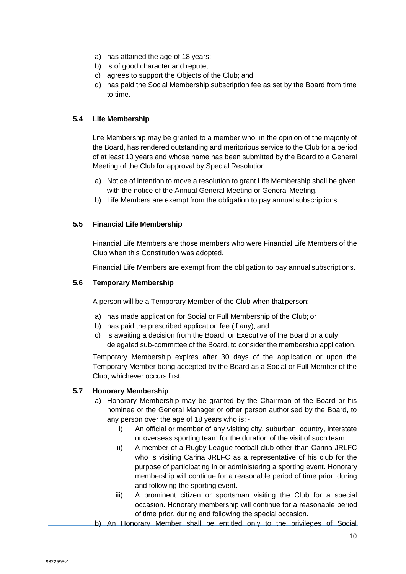- a) has attained the age of 18 years;
- b) is of good character and repute;
- c) agrees to support the Objects of the Club; and
- d) has paid the Social Membership subscription fee as set by the Board from time to time.

#### <span id="page-9-0"></span>**5.4 Life Membership**

Life Membership may be granted to a member who, in the opinion of the majority of the Board, has rendered outstanding and meritorious service to the Club for a period of at least 10 years and whose name has been submitted by the Board to a General Meeting of the Club for approval by Special Resolution.

- a) Notice of intention to move a resolution to grant Life Membership shall be given with the notice of the Annual General Meeting or General Meeting.
- b) Life Members are exempt from the obligation to pay annual subscriptions.

#### <span id="page-9-1"></span>**5.5 Financial Life Membership**

Financial Life Members are those members who were Financial Life Members of the Club when this Constitution was adopted.

Financial Life Members are exempt from the obligation to pay annual subscriptions.

#### <span id="page-9-2"></span>**5.6 Temporary Membership**

A person will be a Temporary Member of the Club when that person:

- a) has made application for Social or Full Membership of the Club; or
- b) has paid the prescribed application fee (if any); and
- c) is awaiting a decision from the Board, or Executive of the Board or a duly delegated sub-committee of the Board, to consider the membership application.

Temporary Membership expires after 30 days of the application or upon the Temporary Member being accepted by the Board as a Social or Full Member of the Club, whichever occurs first.

#### <span id="page-9-3"></span>**5.7 Honorary Membership**

- a) Honorary Membership may be granted by the Chairman of the Board or his nominee or the General Manager or other person authorised by the Board, to any person over the age of 18 years who is:
	- i) An official or member of any visiting city, suburban, country, interstate or overseas sporting team for the duration of the visit of such team.
	- ii) A member of a Rugby League football club other than Carina JRLFC who is visiting Carina JRLFC as a representative of his club for the purpose of participating in or administering a sporting event. Honorary membership will continue for a reasonable period of time prior, during and following the sporting event.
	- iii) A prominent citizen or sportsman visiting the Club for a special occasion. Honorary membership will continue for a reasonable period of time prior, during and following the special occasion.
- b) An Honorary Member shall be entitled only to the privileges of Social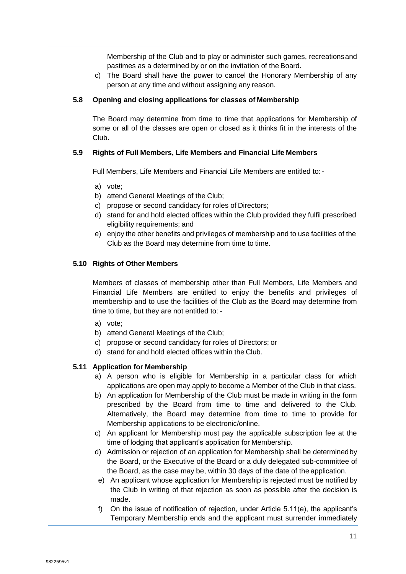Membership of the Club and to play or administer such games, recreationsand pastimes as a determined by or on the invitation of the Board.

c) The Board shall have the power to cancel the Honorary Membership of any person at any time and without assigning any reason.

#### <span id="page-10-0"></span>**5.8 Opening and closing applications for classes of Membership**

The Board may determine from time to time that applications for Membership of some or all of the classes are open or closed as it thinks fit in the interests of the Club.

#### <span id="page-10-1"></span>**5.9 Rights of Full Members, Life Members and Financial Life Members**

Full Members, Life Members and Financial Life Members are entitled to:-

- a) vote;
- b) attend General Meetings of the Club;
- c) propose or second candidacy for roles of Directors;
- d) stand for and hold elected offices within the Club provided they fulfil prescribed eligibility requirements; and
- e) enjoy the other benefits and privileges of membership and to use facilities of the Club as the Board may determine from time to time.

#### <span id="page-10-2"></span>**5.10 Rights of Other Members**

Members of classes of membership other than Full Members, Life Members and Financial Life Members are entitled to enjoy the benefits and privileges of membership and to use the facilities of the Club as the Board may determine from time to time, but they are not entitled to: -

- a) vote;
- b) attend General Meetings of the Club;
- c) propose or second candidacy for roles of Directors; or
- d) stand for and hold elected offices within the Club.

#### <span id="page-10-3"></span>**5.11 Application for Membership**

- a) A person who is eligible for Membership in a particular class for which applications are open may apply to become a Member of the Club in that class.
- b) An application for Membership of the Club must be made in writing in the form prescribed by the Board from time to time and delivered to the Club. Alternatively, the Board may determine from time to time to provide for Membership applications to be electronic/online.
- c) An applicant for Membership must pay the applicable subscription fee at the time of lodging that applicant's application for Membership.
- d) Admission or rejection of an application for Membership shall be determinedby the Board, or the Executive of the Board or a duly delegated sub-committee of the Board, as the case may be, within 30 days of the date of the application.
- e) An applicant whose application for Membership is rejected must be notified by the Club in writing of that rejection as soon as possible after the decision is made.
- f) On the issue of notification of rejection, under Article 5.11(e), the applicant's Temporary Membership ends and the applicant must surrender immediately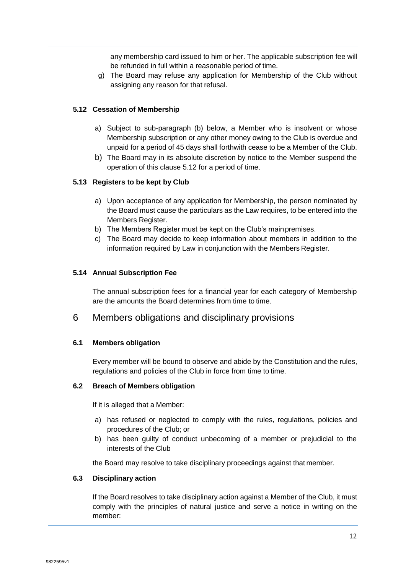any membership card issued to him or her. The applicable subscription fee will be refunded in full within a reasonable period of time.

g) The Board may refuse any application for Membership of the Club without assigning any reason for that refusal.

#### <span id="page-11-0"></span>**5.12 Cessation of Membership**

- a) Subject to sub-paragraph (b) below, a Member who is insolvent or whose Membership subscription or any other money owing to the Club is overdue and unpaid for a period of 45 days shall forthwith cease to be a Member of the Club.
- b) The Board may in its absolute discretion by notice to the Member suspend the operation of this clause 5.12 for a period of time.

#### <span id="page-11-1"></span>**5.13 Registers to be kept by Club**

- a) Upon acceptance of any application for Membership, the person nominated by the Board must cause the particulars as the Law requires, to be entered into the Members Register.
- b) The Members Register must be kept on the Club's mainpremises.
- c) The Board may decide to keep information about members in addition to the information required by Law in conjunction with the Members Register.

#### <span id="page-11-2"></span>**5.14 Annual Subscription Fee**

The annual subscription fees for a financial year for each category of Membership are the amounts the Board determines from time to time.

### <span id="page-11-3"></span>6 Members obligations and disciplinary provisions

#### <span id="page-11-4"></span>**6.1 Members obligation**

Every member will be bound to observe and abide by the Constitution and the rules, regulations and policies of the Club in force from time to time.

#### <span id="page-11-5"></span>**6.2 Breach of Members obligation**

If it is alleged that a Member:

- a) has refused or neglected to comply with the rules, regulations, policies and procedures of the Club; or
- b) has been guilty of conduct unbecoming of a member or prejudicial to the interests of the Club

the Board may resolve to take disciplinary proceedings against that member.

#### <span id="page-11-6"></span>**6.3 Disciplinary action**

If the Board resolves to take disciplinary action against a Member of the Club, it must comply with the principles of natural justice and serve a notice in writing on the member: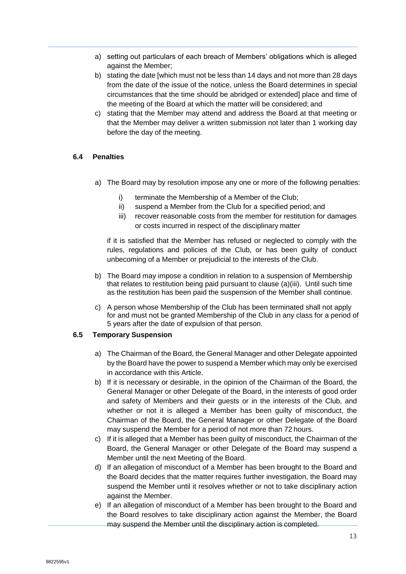- a) setting out particulars of each breach of Members' obligations which is alleged against the Member;
- b) stating the date [which must not be less than 14 days and not more than 28 days from the date of the issue of the notice, unless the Board determines in special circumstances that the time should be abridged or extended] place and time of the meeting of the Board at which the matter will be considered; and
- c) stating that the Member may attend and address the Board at that meeting or that the Member may deliver a written submission not later than 1 working day before the day of the meeting.

#### <span id="page-12-0"></span>**6.4 Penalties**

- a) The Board may by resolution impose any one or more of the following penalties:
	- i) terminate the Membership of a Member of the Club;
	- ii) suspend a Member from the Club for a specified period; and
	- iii) recover reasonable costs from the member for restitution for damages or costs incurred in respect of the disciplinary matter

if it is satisfied that the Member has refused or neglected to comply with the rules, regulations and policies of the Club, or has been guilty of conduct unbecoming of a Member or prejudicial to the interests of the Club.

- b) The Board may impose a condition in relation to a suspension of Membership that relates to restitution being paid pursuant to clause (a)(iii). Until such time as the restitution has been paid the suspension of the Member shall continue.
- c) A person whose Membership of the Club has been terminated shall not apply for and must not be granted Membership of the Club in any class for a period of 5 years after the date of expulsion of that person.

#### <span id="page-12-1"></span>**6.5 Temporary Suspension**

- a) The Chairman of the Board, the General Manager and other Delegate appointed by the Board have the power to suspend a Member which may only be exercised in accordance with this Article.
- b) If it is necessary or desirable, in the opinion of the Chairman of the Board, the General Manager or other Delegate of the Board, in the interests of good order and safety of Members and their guests or in the interests of the Club, and whether or not it is alleged a Member has been guilty of misconduct, the Chairman of the Board, the General Manager or other Delegate of the Board may suspend the Member for a period of not more than 72 hours.
- c) If it is alleged that a Member has been guilty of misconduct, the Chairman of the Board, the General Manager or other Delegate of the Board may suspend a Member until the next Meeting of the Board.
- d) If an allegation of misconduct of a Member has been brought to the Board and the Board decides that the matter requires further investigation, the Board may suspend the Member until it resolves whether or not to take disciplinary action against the Member.
- e) If an allegation of misconduct of a Member has been brought to the Board and the Board resolves to take disciplinary action against the Member, the Board may suspend the Member until the disciplinary action is completed.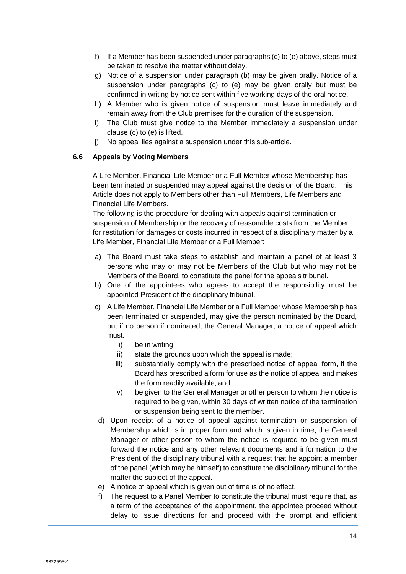- f) If a Member has been suspended under paragraphs (c) to (e) above, steps must be taken to resolve the matter without delay.
- g) Notice of a suspension under paragraph (b) may be given orally. Notice of a suspension under paragraphs (c) to (e) may be given orally but must be confirmed in writing by notice sent within five working days of the oral notice.
- h) A Member who is given notice of suspension must leave immediately and remain away from the Club premises for the duration of the suspension.
- i) The Club must give notice to the Member immediately a suspension under clause (c) to (e) is lifted.
- j) No appeal lies against a suspension under this sub-article.

#### <span id="page-13-0"></span>**6.6 Appeals by Voting Members**

A Life Member, Financial Life Member or a Full Member whose Membership has been terminated or suspended may appeal against the decision of the Board. This Article does not apply to Members other than Full Members, Life Members and Financial Life Members.

The following is the procedure for dealing with appeals against termination or suspension of Membership or the recovery of reasonable costs from the Member for restitution for damages or costs incurred in respect of a disciplinary matter by a Life Member, Financial Life Member or a Full Member:

- a) The Board must take steps to establish and maintain a panel of at least 3 persons who may or may not be Members of the Club but who may not be Members of the Board, to constitute the panel for the appeals tribunal.
- b) One of the appointees who agrees to accept the responsibility must be appointed President of the disciplinary tribunal.
- c) A Life Member, Financial Life Member or a Full Member whose Membership has been terminated or suspended, may give the person nominated by the Board, but if no person if nominated, the General Manager, a notice of appeal which must:
	- i) be in writing;
	- ii) state the grounds upon which the appeal is made;
	- iii) substantially comply with the prescribed notice of appeal form, if the Board has prescribed a form for use as the notice of appeal and makes the form readily available; and
	- iv) be given to the General Manager or other person to whom the notice is required to be given, within 30 days of written notice of the termination or suspension being sent to the member.
- d) Upon receipt of a notice of appeal against termination or suspension of Membership which is in proper form and which is given in time, the General Manager or other person to whom the notice is required to be given must forward the notice and any other relevant documents and information to the President of the disciplinary tribunal with a request that he appoint a member of the panel (which may be himself) to constitute the disciplinary tribunal for the matter the subject of the appeal.
- e) A notice of appeal which is given out of time is of no effect.
- f) The request to a Panel Member to constitute the tribunal must require that, as a term of the acceptance of the appointment, the appointee proceed without delay to issue directions for and proceed with the prompt and efficient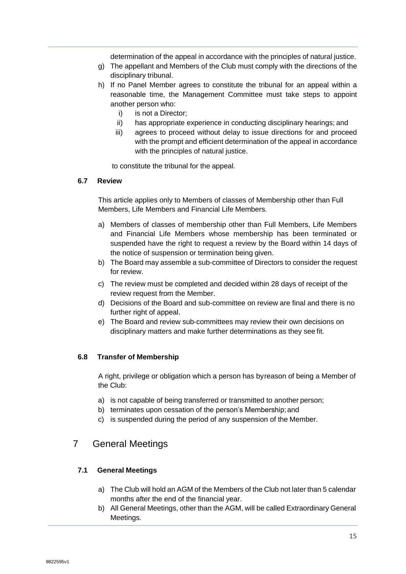determination of the appeal in accordance with the principles of natural justice.

- g) The appellant and Members of the Club must comply with the directions of the disciplinary tribunal.
- h) If no Panel Member agrees to constitute the tribunal for an appeal within a reasonable time, the Management Committee must take steps to appoint another person who:
	- i) is not a Director;
	- ii) has appropriate experience in conducting disciplinary hearings; and
	- iii) agrees to proceed without delay to issue directions for and proceed with the prompt and efficient determination of the appeal in accordance with the principles of natural justice.

to constitute the tribunal for the appeal.

#### <span id="page-14-0"></span>**6.7 Review**

This article applies only to Members of classes of Membership other than Full Members, Life Members and Financial Life Members.

- a) Members of classes of membership other than Full Members, Life Members and Financial Life Members whose membership has been terminated or suspended have the right to request a review by the Board within 14 days of the notice of suspension or termination being given.
- b) The Board may assemble a sub-committee of Directors to consider the request for review.
- c) The review must be completed and decided within 28 days of receipt of the review request from the Member.
- d) Decisions of the Board and sub-committee on review are final and there is no further right of appeal.
- e) The Board and review sub-committees may review their own decisions on disciplinary matters and make further determinations as they see fit.

#### <span id="page-14-1"></span>**6.8 Transfer of Membership**

A right, privilege or obligation which a person has byreason of being a Member of the Club:

- a) is not capable of being transferred or transmitted to another person;
- b) terminates upon cessation of the person's Membership; and
- c) is suspended during the period of any suspension of the Member.

### <span id="page-14-2"></span>7 General Meetings

#### <span id="page-14-3"></span>**7.1 General Meetings**

- a) The Club will hold an AGM of the Members of the Club not later than 5 calendar months after the end of the financial year.
- b) All General Meetings, other than the AGM, will be called Extraordinary General Meetings.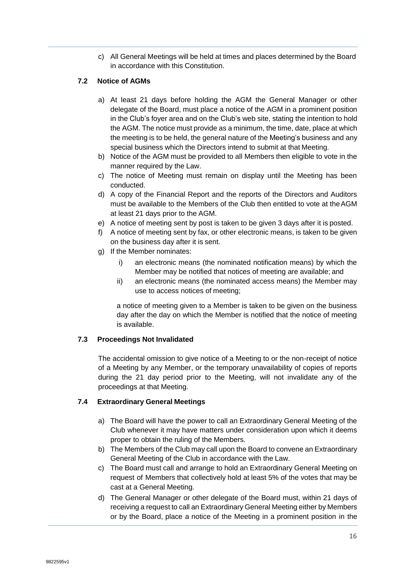c) All General Meetings will be held at times and places determined by the Board in accordance with this Constitution.

#### <span id="page-15-0"></span>**7.2 Notice of AGMs**

- a) At least 21 days before holding the AGM the General Manager or other delegate of the Board, must place a notice of the AGM in a prominent position in the Club's foyer area and on the Club's web site, stating the intention to hold the AGM. The notice must provide as a minimum, the time, date, place at which the meeting is to be held, the general nature of the Meeting's business and any special business which the Directors intend to submit at that Meeting.
- b) Notice of the AGM must be provided to all Members then eligible to vote in the manner required by the Law.
- c) The notice of Meeting must remain on display until the Meeting has been conducted.
- d) A copy of the Financial Report and the reports of the Directors and Auditors must be available to the Members of the Club then entitled to vote at theAGM at least 21 days prior to the AGM.
- e) A notice of meeting sent by post is taken to be given 3 days after it is posted.
- f) A notice of meeting sent by fax, or other electronic means, is taken to be given on the business day after it is sent.
- g) If the Member nominates:
	- i) an electronic means (the nominated notification means) by which the Member may be notified that notices of meeting are available; and
	- ii) an electronic means (the nominated access means) the Member may use to access notices of meeting;

a notice of meeting given to a Member is taken to be given on the business day after the day on which the Member is notified that the notice of meeting is available.

#### <span id="page-15-1"></span>**7.3 Proceedings Not Invalidated**

The accidental omission to give notice of a Meeting to or the non-receipt of notice of a Meeting by any Member, or the temporary unavailability of copies of reports during the 21 day period prior to the Meeting, will not invalidate any of the proceedings at that Meeting.

#### <span id="page-15-2"></span>**7.4 Extraordinary General Meetings**

- a) The Board will have the power to call an Extraordinary General Meeting of the Club whenever it may have matters under consideration upon which it deems proper to obtain the ruling of the Members.
- b) The Members of the Club may call upon the Board to convene an Extraordinary General Meeting of the Club in accordance with the Law.
- c) The Board must call and arrange to hold an Extraordinary General Meeting on request of Members that collectively hold at least 5% of the votes that may be cast at a General Meeting.
- d) The General Manager or other delegate of the Board must, within 21 days of receiving a request to call an Extraordinary General Meeting either by Members or by the Board, place a notice of the Meeting in a prominent position in the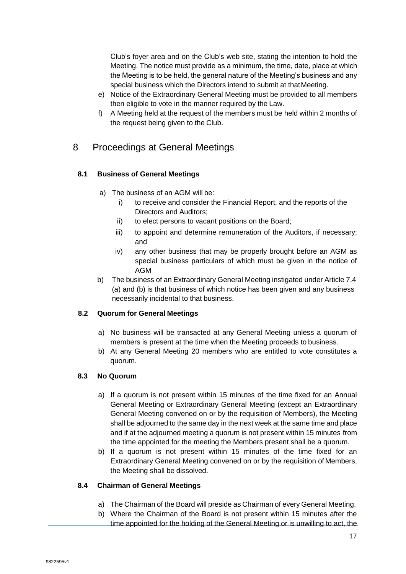Club's foyer area and on the Club's web site, stating the intention to hold the Meeting. The notice must provide as a minimum, the time, date, place at which the Meeting is to be held, the general nature of the Meeting's business and any special business which the Directors intend to submit at thatMeeting.

- e) Notice of the Extraordinary General Meeting must be provided to all members then eligible to vote in the manner required by the Law.
- f) A Meeting held at the request of the members must be held within 2 months of the request being given to the Club.

### <span id="page-16-0"></span>8 Proceedings at General Meetings

### <span id="page-16-1"></span>**8.1 Business of General Meetings**

- a) The business of an AGM will be:
	- i) to receive and consider the Financial Report, and the reports of the Directors and Auditors;
	- ii) to elect persons to vacant positions on the Board;
	- iii) to appoint and determine remuneration of the Auditors, if necessary; and
	- iv) any other business that may be properly brought before an AGM as special business particulars of which must be given in the notice of AGM
- b) The business of an Extraordinary General Meeting instigated under Article 7.4 (a) and (b) is that business of which notice has been given and any business necessarily incidental to that business.

#### <span id="page-16-2"></span>**8.2 Quorum for General Meetings**

- a) No business will be transacted at any General Meeting unless a quorum of members is present at the time when the Meeting proceeds to business.
- b) At any General Meeting 20 members who are entitled to vote constitutes a quorum.

### <span id="page-16-3"></span>**8.3 No Quorum**

- a) If a quorum is not present within 15 minutes of the time fixed for an Annual General Meeting or Extraordinary General Meeting (except an Extraordinary General Meeting convened on or by the requisition of Members), the Meeting shall be adjourned to the same day in the next week at the same time and place and if at the adjourned meeting a quorum is not present within 15 minutes from the time appointed for the meeting the Members present shall be a quorum.
- b) If a quorum is not present within 15 minutes of the time fixed for an Extraordinary General Meeting convened on or by the requisition of Members, the Meeting shall be dissolved.

#### <span id="page-16-4"></span>**8.4 Chairman of General Meetings**

- a) The Chairman of the Board will preside as Chairman of every General Meeting.
- b) Where the Chairman of the Board is not present within 15 minutes after the time appointed for the holding of the General Meeting or is unwilling to act, the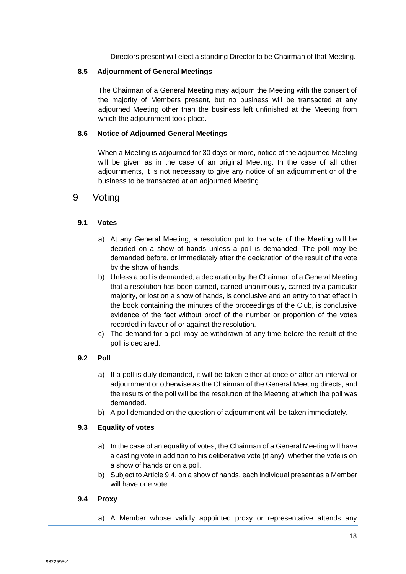Directors present will elect a standing Director to be Chairman of that Meeting.

#### <span id="page-17-0"></span>**8.5 Adjournment of General Meetings**

The Chairman of a General Meeting may adjourn the Meeting with the consent of the majority of Members present, but no business will be transacted at any adjourned Meeting other than the business left unfinished at the Meeting from which the adjournment took place.

#### <span id="page-17-1"></span>**8.6 Notice of Adjourned General Meetings**

When a Meeting is adjourned for 30 days or more, notice of the adjourned Meeting will be given as in the case of an original Meeting. In the case of all other adjournments, it is not necessary to give any notice of an adjournment or of the business to be transacted at an adjourned Meeting.

### <span id="page-17-2"></span>9 Voting

#### <span id="page-17-3"></span>**9.1 Votes**

- a) At any General Meeting, a resolution put to the vote of the Meeting will be decided on a show of hands unless a poll is demanded. The poll may be demanded before, or immediately after the declaration of the result of the vote by the show of hands.
- b) Unless a poll is demanded, a declaration by the Chairman of a General Meeting that a resolution has been carried, carried unanimously, carried by a particular majority, or lost on a show of hands, is conclusive and an entry to that effect in the book containing the minutes of the proceedings of the Club, is conclusive evidence of the fact without proof of the number or proportion of the votes recorded in favour of or against the resolution.
- c) The demand for a poll may be withdrawn at any time before the result of the poll is declared.

#### <span id="page-17-4"></span>**9.2 Poll**

- a) If a poll is duly demanded, it will be taken either at once or after an interval or adjournment or otherwise as the Chairman of the General Meeting directs, and the results of the poll will be the resolution of the Meeting at which the poll was demanded.
- b) A poll demanded on the question of adjournment will be taken immediately.

#### <span id="page-17-5"></span>**9.3 Equality of votes**

- a) In the case of an equality of votes, the Chairman of a General Meeting will have a casting vote in addition to his deliberative vote (if any), whether the vote is on a show of hands or on a poll.
- b) Subject to Article 9.4, on a show of hands, each individual present as a Member will have one vote.

#### <span id="page-17-6"></span>**9.4 Proxy**

a) A Member whose validly appointed proxy or representative attends any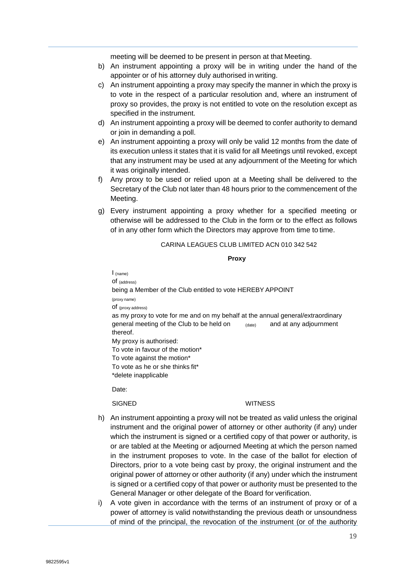meeting will be deemed to be present in person at that Meeting.

- b) An instrument appointing a proxy will be in writing under the hand of the appointer or of his attorney duly authorised in writing.
- c) An instrument appointing a proxy may specify the manner in which the proxy is to vote in the respect of a particular resolution and, where an instrument of proxy so provides, the proxy is not entitled to vote on the resolution except as specified in the instrument.
- d) An instrument appointing a proxy will be deemed to confer authority to demand or join in demanding a poll.
- e) An instrument appointing a proxy will only be valid 12 months from the date of its execution unless it states that it is valid for all Meetings until revoked, except that any instrument may be used at any adjournment of the Meeting for which it was originally intended.
- f) Any proxy to be used or relied upon at a Meeting shall be delivered to the Secretary of the Club not later than 48 hours prior to the commencement of the Meeting.
- g) Every instrument appointing a proxy whether for a specified meeting or otherwise will be addressed to the Club in the form or to the effect as follows of in any other form which the Directors may approve from time to time.

#### CARINA LEAGUES CLUB LIMITED ACN 010 342 542

#### **Proxy**

I (name) of (address) being a Member of the Club entitled to vote HEREBY APPOINT (proxy name) of (proxy address) as my proxy to vote for me and on my behalf at the annual general/extraordinary general meeting of the Club to be held on (date) and at any adjournment thereof. My proxy is authorised: To vote in favour of the motion\* To vote against the motion\* To vote as he or she thinks fit\* \*delete inapplicable

Date:

#### SIGNED WITNESS

- h) An instrument appointing a proxy will not be treated as valid unless the original instrument and the original power of attorney or other authority (if any) under which the instrument is signed or a certified copy of that power or authority, is or are tabled at the Meeting or adjourned Meeting at which the person named in the instrument proposes to vote. In the case of the ballot for election of Directors, prior to a vote being cast by proxy, the original instrument and the original power of attorney or other authority (if any) under which the instrument is signed or a certified copy of that power or authority must be presented to the General Manager or other delegate of the Board for verification.
- i) A vote given in accordance with the terms of an instrument of proxy or of a power of attorney is valid notwithstanding the previous death or unsoundness of mind of the principal, the revocation of the instrument (or of the authority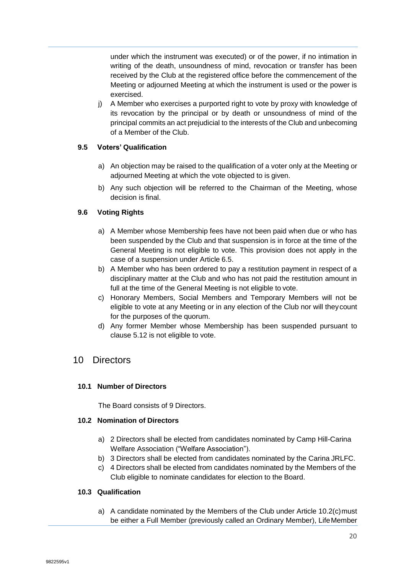under which the instrument was executed) or of the power, if no intimation in writing of the death, unsoundness of mind, revocation or transfer has been received by the Club at the registered office before the commencement of the Meeting or adjourned Meeting at which the instrument is used or the power is exercised.

j) A Member who exercises a purported right to vote by proxy with knowledge of its revocation by the principal or by death or unsoundness of mind of the principal commits an act prejudicial to the interests of the Club and unbecoming of a Member of the Club.

### <span id="page-19-0"></span>**9.5 Voters' Qualification**

- a) An objection may be raised to the qualification of a voter only at the Meeting or adjourned Meeting at which the vote objected to is given.
- b) Any such objection will be referred to the Chairman of the Meeting, whose decision is final.

### <span id="page-19-1"></span>**9.6 Voting Rights**

- a) A Member whose Membership fees have not been paid when due or who has been suspended by the Club and that suspension is in force at the time of the General Meeting is not eligible to vote. This provision does not apply in the case of a suspension under Article 6.5.
- b) A Member who has been ordered to pay a restitution payment in respect of a disciplinary matter at the Club and who has not paid the restitution amount in full at the time of the General Meeting is not eligible to vote.
- c) Honorary Members, Social Members and Temporary Members will not be eligible to vote at any Meeting or in any election of the Club nor will theycount for the purposes of the quorum.
- d) Any former Member whose Membership has been suspended pursuant to clause 5.12 is not eligible to vote.

### <span id="page-19-2"></span>10 Directors

### <span id="page-19-3"></span>**10.1 Number of Directors**

The Board consists of 9 Directors.

#### <span id="page-19-4"></span>**10.2 Nomination of Directors**

- a) 2 Directors shall be elected from candidates nominated by Camp Hill-Carina Welfare Association ("Welfare Association").
- b) 3 Directors shall be elected from candidates nominated by the Carina JRLFC.
- c) 4 Directors shall be elected from candidates nominated by the Members of the Club eligible to nominate candidates for election to the Board.

### <span id="page-19-5"></span>**10.3 Qualification**

a) A candidate nominated by the Members of the Club under Article 10.2(c)must be either a Full Member (previously called an Ordinary Member), LifeMember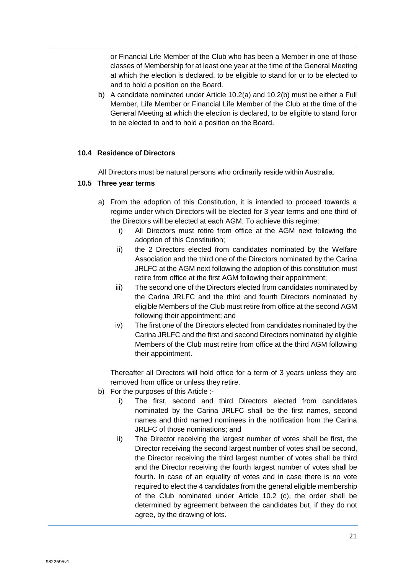or Financial Life Member of the Club who has been a Member in one of those classes of Membership for at least one year at the time of the General Meeting at which the election is declared, to be eligible to stand for or to be elected to and to hold a position on the Board.

b) A candidate nominated under Article 10.2(a) and 10.2(b) must be either a Full Member, Life Member or Financial Life Member of the Club at the time of the General Meeting at which the election is declared, to be eligible to stand foror to be elected to and to hold a position on the Board.

#### <span id="page-20-0"></span>**10.4 Residence of Directors**

All Directors must be natural persons who ordinarily reside within Australia.

#### <span id="page-20-1"></span>**10.5 Three year terms**

- a) From the adoption of this Constitution, it is intended to proceed towards a regime under which Directors will be elected for 3 year terms and one third of the Directors will be elected at each AGM. To achieve this regime:
	- i) All Directors must retire from office at the AGM next following the adoption of this Constitution;
	- ii) the 2 Directors elected from candidates nominated by the Welfare Association and the third one of the Directors nominated by the Carina JRLFC at the AGM next following the adoption of this constitution must retire from office at the first AGM following their appointment;
	- iii) The second one of the Directors elected from candidates nominated by the Carina JRLFC and the third and fourth Directors nominated by eligible Members of the Club must retire from office at the second AGM following their appointment; and
	- iv) The first one of the Directors elected from candidates nominated by the Carina JRLFC and the first and second Directors nominated by eligible Members of the Club must retire from office at the third AGM following their appointment.

Thereafter all Directors will hold office for a term of 3 years unless they are removed from office or unless they retire.

- b) For the purposes of this Article :
	- i) The first, second and third Directors elected from candidates nominated by the Carina JRLFC shall be the first names, second names and third named nominees in the notification from the Carina JRLFC of those nominations; and
	- ii) The Director receiving the largest number of votes shall be first, the Director receiving the second largest number of votes shall be second, the Director receiving the third largest number of votes shall be third and the Director receiving the fourth largest number of votes shall be fourth. In case of an equality of votes and in case there is no vote required to elect the 4 candidates from the general eligible membership of the Club nominated under Article 10.2 (c), the order shall be determined by agreement between the candidates but, if they do not agree, by the drawing of lots.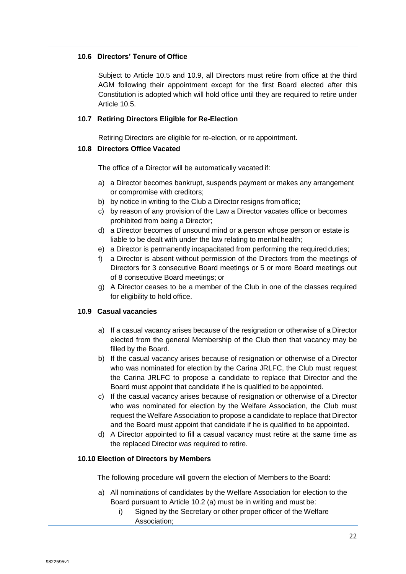#### <span id="page-21-0"></span>**10.6 Directors' Tenure of Office**

Subject to Article 10.5 and 10.9, all Directors must retire from office at the third AGM following their appointment except for the first Board elected after this Constitution is adopted which will hold office until they are required to retire under Article 10.5.

#### <span id="page-21-1"></span>**10.7 Retiring Directors Eligible for Re-Election**

Retiring Directors are eligible for re-election, or re appointment.

#### <span id="page-21-2"></span>**10.8 Directors Office Vacated**

The office of a Director will be automatically vacated if:

- a) a Director becomes bankrupt, suspends payment or makes any arrangement or compromise with creditors;
- b) by notice in writing to the Club a Director resigns from office;
- c) by reason of any provision of the Law a Director vacates office or becomes prohibited from being a Director;
- d) a Director becomes of unsound mind or a person whose person or estate is liable to be dealt with under the law relating to mental health;
- e) a Director is permanently incapacitated from performing the required duties;
- f) a Director is absent without permission of the Directors from the meetings of Directors for 3 consecutive Board meetings or 5 or more Board meetings out of 8 consecutive Board meetings; or
- g) A Director ceases to be a member of the Club in one of the classes required for eligibility to hold office.

#### <span id="page-21-3"></span>**10.9 Casual vacancies**

- a) If a casual vacancy arises because of the resignation or otherwise of a Director elected from the general Membership of the Club then that vacancy may be filled by the Board.
- b) If the casual vacancy arises because of resignation or otherwise of a Director who was nominated for election by the Carina JRLFC, the Club must request the Carina JRLFC to propose a candidate to replace that Director and the Board must appoint that candidate if he is qualified to be appointed.
- c) If the casual vacancy arises because of resignation or otherwise of a Director who was nominated for election by the Welfare Association, the Club must request the Welfare Association to propose a candidate to replace that Director and the Board must appoint that candidate if he is qualified to be appointed.
- d) A Director appointed to fill a casual vacancy must retire at the same time as the replaced Director was required to retire.

#### <span id="page-21-4"></span>**10.10 Election of Directors by Members**

The following procedure will govern the election of Members to the Board:

- a) All nominations of candidates by the Welfare Association for election to the Board pursuant to Article 10.2 (a) must be in writing and must be:
	- i) Signed by the Secretary or other proper officer of the Welfare Association;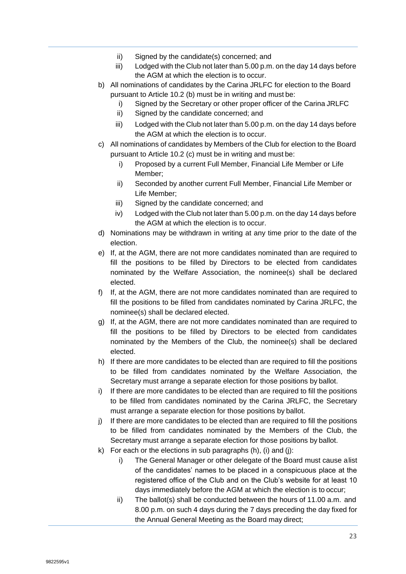- ii) Signed by the candidate(s) concerned; and
- iii) Lodged with the Club not later than 5.00 p.m. on the day 14 days before the AGM at which the election is to occur.
- b) All nominations of candidates by the Carina JRLFC for election to the Board pursuant to Article 10.2 (b) must be in writing and must be:
	- i) Signed by the Secretary or other proper officer of the Carina JRLFC
	- ii) Signed by the candidate concerned; and
	- iii) Lodged with the Club not later than 5.00 p.m. on the day 14 days before the AGM at which the election is to occur.
- c) All nominations of candidates by Members of the Club for election to the Board pursuant to Article 10.2 (c) must be in writing and must be:
	- i) Proposed by a current Full Member, Financial Life Member or Life Member;
	- ii) Seconded by another current Full Member, Financial Life Member or Life Member;
	- iii) Signed by the candidate concerned; and
	- iv) Lodged with the Club not later than 5.00 p.m. on the day 14 days before the AGM at which the election is to occur.
- d) Nominations may be withdrawn in writing at any time prior to the date of the election.
- e) If, at the AGM, there are not more candidates nominated than are required to fill the positions to be filled by Directors to be elected from candidates nominated by the Welfare Association, the nominee(s) shall be declared elected.
- f) If, at the AGM, there are not more candidates nominated than are required to fill the positions to be filled from candidates nominated by Carina JRLFC, the nominee(s) shall be declared elected.
- g) If, at the AGM, there are not more candidates nominated than are required to fill the positions to be filled by Directors to be elected from candidates nominated by the Members of the Club, the nominee(s) shall be declared elected.
- h) If there are more candidates to be elected than are required to fill the positions to be filled from candidates nominated by the Welfare Association, the Secretary must arrange a separate election for those positions by ballot.
- i) If there are more candidates to be elected than are required to fill the positions to be filled from candidates nominated by the Carina JRLFC, the Secretary must arrange a separate election for those positions by ballot.
- j) If there are more candidates to be elected than are required to fill the positions to be filled from candidates nominated by the Members of the Club, the Secretary must arrange a separate election for those positions by ballot.
- k) For each or the elections in sub paragraphs  $(h)$ ,  $(i)$  and  $(j)$ :
	- i) The General Manager or other delegate of the Board must cause alist of the candidates' names to be placed in a conspicuous place at the registered office of the Club and on the Club's website for at least 10 days immediately before the AGM at which the election is to occur;
	- ii) The ballot(s) shall be conducted between the hours of 11.00 a.m. and 8.00 p.m. on such 4 days during the 7 days preceding the day fixed for the Annual General Meeting as the Board may direct;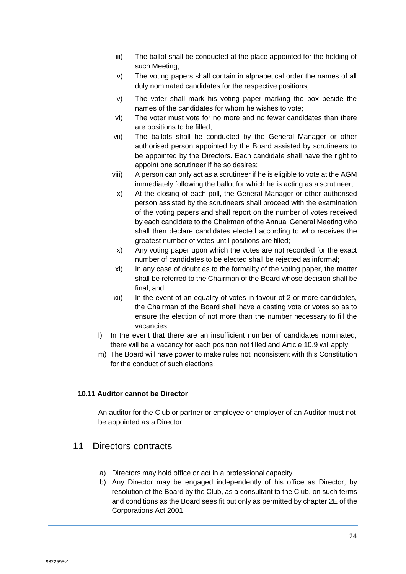- iii) The ballot shall be conducted at the place appointed for the holding of such Meeting;
- iv) The voting papers shall contain in alphabetical order the names of all duly nominated candidates for the respective positions;
- v) The voter shall mark his voting paper marking the box beside the names of the candidates for whom he wishes to vote;
- vi) The voter must vote for no more and no fewer candidates than there are positions to be filled;
- vii) The ballots shall be conducted by the General Manager or other authorised person appointed by the Board assisted by scrutineers to be appointed by the Directors. Each candidate shall have the right to appoint one scrutineer if he so desires;
- viii) A person can only act as a scrutineer if he is eligible to vote at the AGM immediately following the ballot for which he is acting as a scrutineer;
- ix) At the closing of each poll, the General Manager or other authorised person assisted by the scrutineers shall proceed with the examination of the voting papers and shall report on the number of votes received by each candidate to the Chairman of the Annual General Meeting who shall then declare candidates elected according to who receives the greatest number of votes until positions are filled;
- x) Any voting paper upon which the votes are not recorded for the exact number of candidates to be elected shall be rejected as informal;
- xi) In any case of doubt as to the formality of the voting paper, the matter shall be referred to the Chairman of the Board whose decision shall be final; and
- xii) In the event of an equality of votes in favour of 2 or more candidates, the Chairman of the Board shall have a casting vote or votes so as to ensure the election of not more than the number necessary to fill the vacancies.
- l) In the event that there are an insufficient number of candidates nominated, there will be a vacancy for each position not filled and Article 10.9 will apply.
- m) The Board will have power to make rules not inconsistent with this Constitution for the conduct of such elections.

#### <span id="page-23-0"></span>**10.11 Auditor cannot be Director**

An auditor for the Club or partner or employee or employer of an Auditor must not be appointed as a Director.

### <span id="page-23-1"></span>11 Directors contracts

- a) Directors may hold office or act in a professional capacity.
- b) Any Director may be engaged independently of his office as Director, by resolution of the Board by the Club, as a consultant to the Club, on such terms and conditions as the Board sees fit but only as permitted by chapter 2E of the Corporations Act 2001.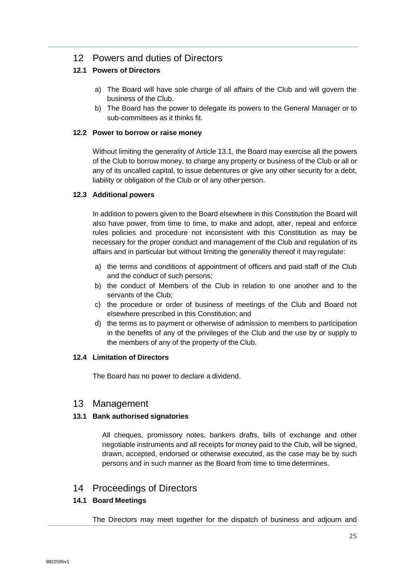### <span id="page-24-0"></span>12 Powers and duties of Directors

### <span id="page-24-1"></span>**12.1 Powers of Directors**

- a) The Board will have sole charge of all affairs of the Club and will govern the business of the Club.
- b) The Board has the power to delegate its powers to the General Manager or to sub-committees as it thinks fit.

#### <span id="page-24-2"></span>**12.2 Power to borrow or raise money**

Without limiting the generality of Article 13.1, the Board may exercise all the powers of the Club to borrow money, to charge any property or business of the Club or all or any of its uncalled capital, to issue debentures or give any other security for a debt, liability or obligation of the Club or of any other person.

### <span id="page-24-3"></span>**12.3 Additional powers**

In addition to powers given to the Board elsewhere in this Constitution the Board will also have power, from time to time, to make and adopt, alter, repeal and enforce rules policies and procedure not inconsistent with this Constitution as may be necessary for the proper conduct and management of the Club and regulation of its affairs and in particular but without limiting the generality thereof it may regulate:

- a) the terms and conditions of appointment of officers and paid staff of the Club and the conduct of such persons;
- b) the conduct of Members of the Club in relation to one another and to the servants of the Club;
- c) the procedure or order of business of meetings of the Club and Board not elsewhere prescribed in this Constitution; and
- d) the terms as to payment or otherwise of admission to members to participation in the benefits of any of the privileges of the Club and the use by or supply to the members of any of the property of the Club.

#### <span id="page-24-4"></span>**12.4 Limitation of Directors**

The Board has no power to declare a dividend.

### <span id="page-24-5"></span>13 Management

#### <span id="page-24-6"></span>**13.1 Bank authorised signatories**

All cheques, promissory notes, bankers drafts, bills of exchange and other negotiable instruments and all receipts for money paid to the Club, will be signed, drawn, accepted, endorsed or otherwise executed, as the case may be by such persons and in such manner as the Board from time to time determines.

### <span id="page-24-7"></span>14 Proceedings of Directors

### <span id="page-24-8"></span>**14.1 Board Meetings**

The Directors may meet together for the dispatch of business and adjourn and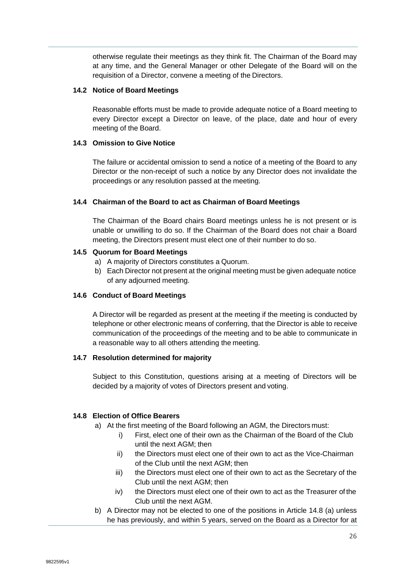otherwise regulate their meetings as they think fit. The Chairman of the Board may at any time, and the General Manager or other Delegate of the Board will on the requisition of a Director, convene a meeting of the Directors.

#### <span id="page-25-0"></span>**14.2 Notice of Board Meetings**

Reasonable efforts must be made to provide adequate notice of a Board meeting to every Director except a Director on leave, of the place, date and hour of every meeting of the Board.

#### <span id="page-25-1"></span>**14.3 Omission to Give Notice**

The failure or accidental omission to send a notice of a meeting of the Board to any Director or the non-receipt of such a notice by any Director does not invalidate the proceedings or any resolution passed at the meeting.

#### <span id="page-25-2"></span>**14.4 Chairman of the Board to act as Chairman of Board Meetings**

The Chairman of the Board chairs Board meetings unless he is not present or is unable or unwilling to do so. If the Chairman of the Board does not chair a Board meeting, the Directors present must elect one of their number to do so.

#### <span id="page-25-3"></span>**14.5 Quorum for Board Meetings**

- a) A majority of Directors constitutes a Quorum.
- b) Each Director not present at the original meeting must be given adequate notice of any adjourned meeting.

#### <span id="page-25-4"></span>**14.6 Conduct of Board Meetings**

A Director will be regarded as present at the meeting if the meeting is conducted by telephone or other electronic means of conferring, that the Director is able to receive communication of the proceedings of the meeting and to be able to communicate in a reasonable way to all others attending the meeting.

#### <span id="page-25-5"></span>**14.7 Resolution determined for majority**

Subject to this Constitution, questions arising at a meeting of Directors will be decided by a majority of votes of Directors present and voting.

#### <span id="page-25-6"></span>**14.8 Election of Office Bearers**

- a) At the first meeting of the Board following an AGM, the Directors must:
	- i) First, elect one of their own as the Chairman of the Board of the Club until the next AGM; then
	- ii) the Directors must elect one of their own to act as the Vice-Chairman of the Club until the next AGM; then
	- iii) the Directors must elect one of their own to act as the Secretary of the Club until the next AGM; then
	- iv) the Directors must elect one of their own to act as the Treasurer of the Club until the next AGM.
- b) A Director may not be elected to one of the positions in Article 14.8 (a) unless he has previously, and within 5 years, served on the Board as a Director for at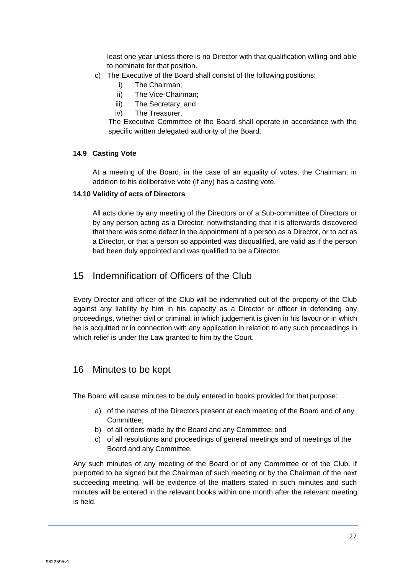least one year unless there is no Director with that qualification willing and able to nominate for that position.

- c) The Executive of the Board shall consist of the following positions:
	- i) The Chairman;
	- ii) The Vice-Chairman;
	- iii) The Secretary; and
	- iv) The Treasurer.

The Executive Committee of the Board shall operate in accordance with the specific written delegated authority of the Board.

#### <span id="page-26-0"></span>**14.9 Casting Vote**

At a meeting of the Board, in the case of an equality of votes, the Chairman, in addition to his deliberative vote (if any) has a casting vote.

#### <span id="page-26-1"></span>**14.10 Validity of acts of Directors**

All acts done by any meeting of the Directors or of a Sub-committee of Directors or by any person acting as a Director, notwithstanding that it is afterwards discovered that there was some defect in the appointment of a person as a Director, or to act as a Director, or that a person so appointed was disqualified, are valid as if the person had been duly appointed and was qualified to be a Director.

### <span id="page-26-2"></span>15 Indemnification of Officers of the Club

Every Director and officer of the Club will be indemnified out of the property of the Club against any liability by him in his capacity as a Director or officer in defending any proceedings, whether civil or criminal, in which judgement is given in his favour or in which he is acquitted or in connection with any application in relation to any such proceedings in which relief is under the Law granted to him by the Court.

### <span id="page-26-3"></span>16 Minutes to be kept

The Board will cause minutes to be duly entered in books provided for that purpose:

- a) of the names of the Directors present at each meeting of the Board and of any Committee;
- b) of all orders made by the Board and any Committee; and
- c) of all resolutions and proceedings of general meetings and of meetings of the Board and any Committee.

Any such minutes of any meeting of the Board or of any Committee or of the Club, if purported to be signed but the Chairman of such meeting or by the Chairman of the next succeeding meeting, will be evidence of the matters stated in such minutes and such minutes will be entered in the relevant books within one month after the relevant meeting is held.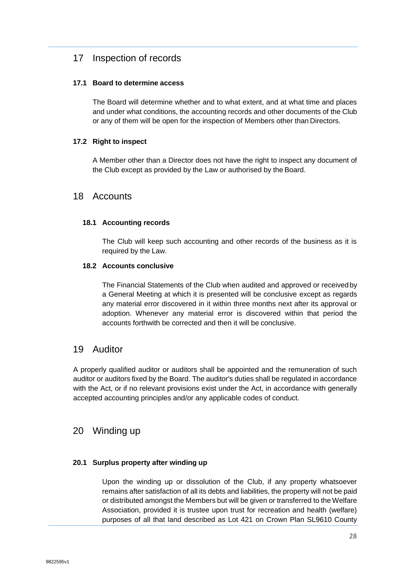### <span id="page-27-0"></span>17 Inspection of records

#### <span id="page-27-1"></span>**17.1 Board to determine access**

The Board will determine whether and to what extent, and at what time and places and under what conditions, the accounting records and other documents of the Club or any of them will be open for the inspection of Members other than Directors.

#### <span id="page-27-2"></span>**17.2 Right to inspect**

A Member other than a Director does not have the right to inspect any document of the Club except as provided by the Law or authorised by the Board.

### <span id="page-27-3"></span>18 Accounts

#### <span id="page-27-4"></span>**18.1 Accounting records**

The Club will keep such accounting and other records of the business as it is required by the Law.

#### <span id="page-27-5"></span>**18.2 Accounts conclusive**

The Financial Statements of the Club when audited and approved or receivedby a General Meeting at which it is presented will be conclusive except as regards any material error discovered in it within three months next after its approval or adoption. Whenever any material error is discovered within that period the accounts forthwith be corrected and then it will be conclusive.

### <span id="page-27-6"></span>19 Auditor

A properly qualified auditor or auditors shall be appointed and the remuneration of such auditor or auditors fixed by the Board. The auditor's duties shall be regulated in accordance with the Act, or if no relevant provisions exist under the Act, in accordance with generally accepted accounting principles and/or any applicable codes of conduct.

### <span id="page-27-7"></span>20 Winding up

#### <span id="page-27-8"></span>**20.1 Surplus property after winding up**

Upon the winding up or dissolution of the Club, if any property whatsoever remains after satisfaction of all its debts and liabilities, the property will not be paid or distributed amongst the Members but will be given or transferred to the Welfare Association, provided it is trustee upon trust for recreation and health (welfare) purposes of all that land described as Lot 421 on Crown Plan SL9610 County